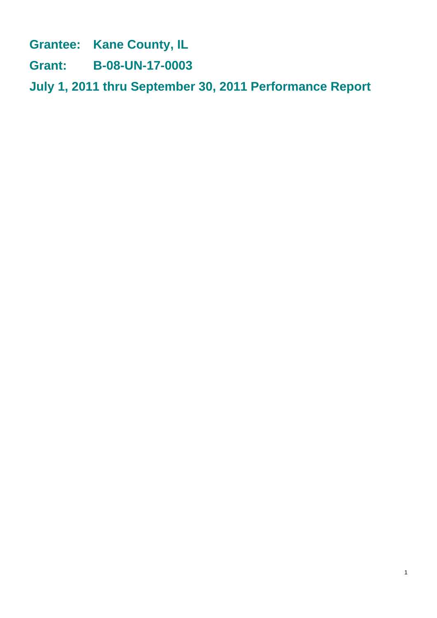**Grantee: Kane County, IL**

**Grant: B-08-UN-17-0003**

**July 1, 2011 thru September 30, 2011 Performance Report**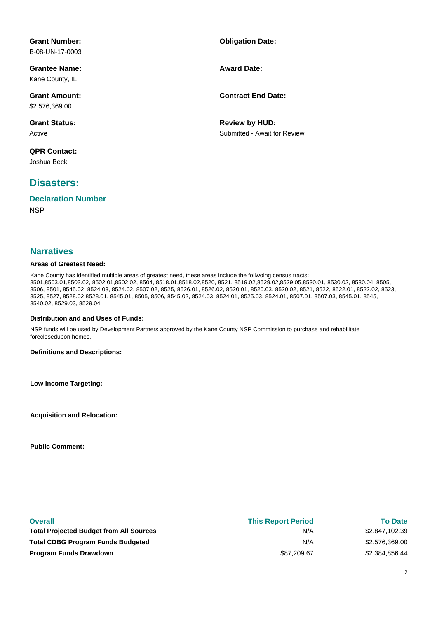| <b>Grant Number:</b><br>B-08-UN-17-0003 | <b>Obligation Date:</b>                               |
|-----------------------------------------|-------------------------------------------------------|
| <b>Grantee Name:</b><br>Kane County, IL | <b>Award Date:</b>                                    |
| <b>Grant Amount:</b><br>\$2,576,369.00  | <b>Contract End Date:</b>                             |
| <b>Grant Status:</b><br>Active          | <b>Review by HUD:</b><br>Submitted - Await for Review |
| <b>QPR Contact:</b><br>Joshua Beck      |                                                       |

#### **Disasters:**

#### **NSP Declaration Number**

#### **Narratives**

#### **Areas of Greatest Need:**

Kane County has identified multiple areas of greatest need, these areas include the follwoing census tracts: 8501,8503.01,8503.02, 8502.01,8502.02, 8504, 8518.01,8518.02,8520, 8521, 8519.02,8529.02,8529.05,8530.01, 8530.02, 8530.04, 8505, 8506, 8501, 8545.02, 8524.03, 8524.02, 8507.02, 8525, 8526.01, 8526.02, 8520.01, 8520.03, 8520.02, 8521, 8522, 8522.01, 8522.02, 8523, 8525, 8527, 8528.02,8528.01, 8545.01, 8505, 8506, 8545.02, 8524.03, 8524.01, 8525.03, 8524.01, 8507.01, 8507.03, 8545.01, 8545, 8540.02, 8529.03, 8529.04

#### **Distribution and and Uses of Funds:**

NSP funds will be used by Development Partners approved by the Kane County NSP Commission to purchase and rehabilitate foreclosedupon homes.

**Definitions and Descriptions:**

**Low Income Targeting:**

**Acquisition and Relocation:**

**Public Comment:**

| <b>Overall</b>                                 | <b>This Report Period</b> | <b>To Date</b> |
|------------------------------------------------|---------------------------|----------------|
| <b>Total Projected Budget from All Sources</b> | N/A                       | \$2,847,102.39 |
| <b>Total CDBG Program Funds Budgeted</b>       | N/A                       | \$2,576,369.00 |
| <b>Program Funds Drawdown</b>                  | \$87.209.67               | \$2,384,856.44 |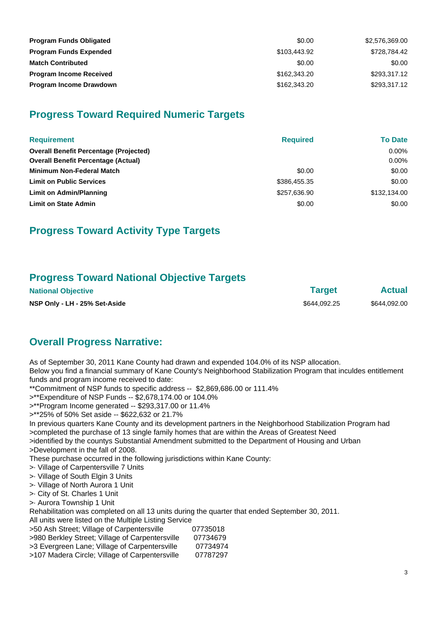| <b>Program Funds Obligated</b> | \$0.00       | \$2,576,369.00 |
|--------------------------------|--------------|----------------|
| <b>Program Funds Expended</b>  | \$103,443.92 | \$728.784.42   |
| <b>Match Contributed</b>       | \$0.00       | \$0.00         |
| <b>Program Income Received</b> | \$162,343,20 | \$293,317.12   |
| <b>Program Income Drawdown</b> | \$162,343.20 | \$293,317.12   |

## **Progress Toward Required Numeric Targets**

| <b>Requirement</b>                            | <b>Required</b> | <b>To Date</b> |
|-----------------------------------------------|-----------------|----------------|
| <b>Overall Benefit Percentage (Projected)</b> |                 | $0.00\%$       |
| <b>Overall Benefit Percentage (Actual)</b>    |                 | $0.00\%$       |
| <b>Minimum Non-Federal Match</b>              | \$0.00          | \$0.00         |
| <b>Limit on Public Services</b>               | \$386,455.35    | \$0.00         |
| <b>Limit on Admin/Planning</b>                | \$257,636.90    | \$132,134.00   |
| <b>Limit on State Admin</b>                   | \$0.00          | \$0.00         |

## **Progress Toward Activity Type Targets**

## **Progress Toward National Objective Targets**

| <b>National Objective</b>     | <b>Target</b> | <b>Actual</b> |
|-------------------------------|---------------|---------------|
| NSP Only - LH - 25% Set-Aside | \$644.092.25  | \$644,092.00  |

## **Overall Progress Narrative:**

As of September 30, 2011 Kane County had drawn and expended 104.0% of its NSP allocation. Below you find a financial summary of Kane County's Neighborhood Stabilization Program that inculdes entitlement funds and program income received to date:

\*\*Commitment of NSP funds to specific address -- \$2,869,686.00 or 111.4%

>\*\*Expenditure of NSP Funds -- \$2,678,174.00 or 104.0%

>\*\*Program Income generated -- \$293,317.00 or 11.4%

>\*\*25% of 50% Set aside -- \$622,632 or 21.7%

In previous quarters Kane County and its development partners in the Neighborhood Stabilization Program had >completed the purchase of 13 single family homes that are within the Areas of Greatest Need >identified by the countys Substantial Amendment submitted to the Department of Housing and Urban

>Development in the fall of 2008.

These purchase occurred in the following jurisdictions within Kane County:

- >· Village of Carpentersville 7 Units
- >· Village of South Elgin 3 Units
- >· Village of North Aurora 1 Unit >· City of St. Charles 1 Unit
- >· Aurora Township 1 Unit

Rehabilitation was completed on all 13 units during the quarter that ended September 30, 2011.

All units were listed on the Multiple Listing Service

| >50 Ash Street; Village of Carpentersville      | 07735018 |
|-------------------------------------------------|----------|
| >980 Berkley Street; Village of Carpentersville | 07734679 |
| >3 Evergreen Lane; Village of Carpentersville   | 07734974 |

| $\sim$ Lycryper Lanc, village or Darpentersyme | <u> 71 I JTJIT</u> |
|------------------------------------------------|--------------------|
| >107 Madera Circle; Village of Carpentersville | 07787297           |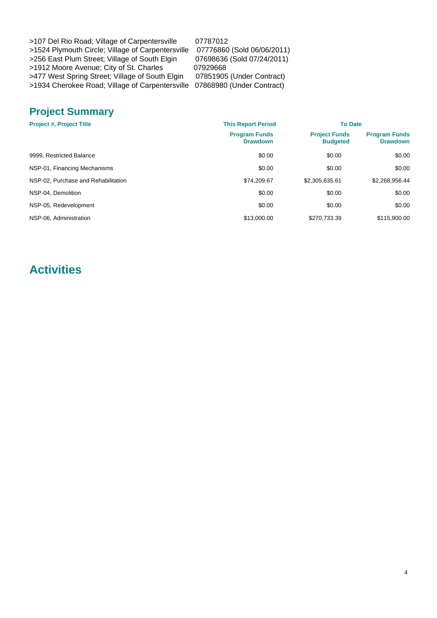| >107 Del Rio Road; Village of Carpentersville                             | 07787012                   |
|---------------------------------------------------------------------------|----------------------------|
| >1524 Plymouth Circle; Village of Carpentersville                         | 07776860 (Sold 06/06/2011) |
| >256 East Plum Street; Village of South Elgin                             | 07698636 (Sold 07/24/2011) |
| >1912 Moore Avenue; City of St. Charles                                   | 07929668                   |
| >477 West Spring Street; Village of South Elgin                           | 07851905 (Under Contract)  |
| >1934 Cherokee Road; Village of Carpentersville 07868980 (Under Contract) |                            |

# **Jnder Contract)** Jnder Contract)

## **Project Summary**

| <b>This Report Period</b><br><b>Project #, Project Title</b><br><b>Program Funds</b><br><b>Drawdown</b> | <b>To Date</b> |                                         |                                         |
|---------------------------------------------------------------------------------------------------------|----------------|-----------------------------------------|-----------------------------------------|
|                                                                                                         |                | <b>Project Funds</b><br><b>Budgeted</b> | <b>Program Funds</b><br><b>Drawdown</b> |
| 9999. Restricted Balance                                                                                | \$0.00         | \$0.00                                  | \$0.00                                  |
| NSP-01, Financing Mechanisms                                                                            | \$0.00         | \$0.00                                  | \$0.00                                  |
| NSP-02, Purchase and Rehabilitation                                                                     | \$74.209.67    | \$2,305,635.61                          | \$2,268,956.44                          |
| NSP-04. Demolition                                                                                      | \$0.00         | \$0.00                                  | \$0.00                                  |
| NSP-05, Redevelopment                                                                                   | \$0.00         | \$0.00                                  | \$0.00                                  |
| NSP-06. Administration                                                                                  | \$13,000.00    | \$270,733.39                            | \$115,900.00                            |

## **Activities**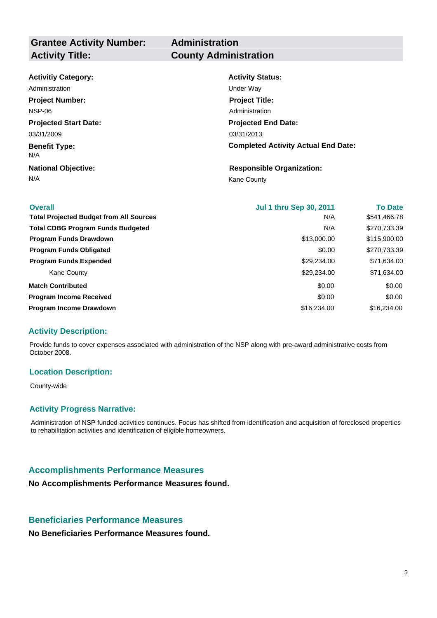# **Administration**

| <b>Activitiy Category:</b>   | <b>Activity Status:</b>                    |
|------------------------------|--------------------------------------------|
| Administration               | Under Way                                  |
| <b>Project Number:</b>       | <b>Project Title:</b>                      |
| <b>NSP-06</b>                | Administration                             |
| <b>Projected Start Date:</b> | <b>Projected End Date:</b>                 |
| 03/31/2009                   | 03/31/2013                                 |
| <b>Benefit Type:</b><br>N/A  | <b>Completed Activity Actual End Date:</b> |
| <b>National Objective:</b>   | <b>Responsible Organization:</b>           |
| N/A                          | <b>Kane County</b>                         |

| <b>Overall</b>                                 | <b>Jul 1 thru Sep 30, 2011</b> | <b>To Date</b> |
|------------------------------------------------|--------------------------------|----------------|
| <b>Total Projected Budget from All Sources</b> | N/A                            | \$541,466.78   |
| <b>Total CDBG Program Funds Budgeted</b>       | N/A                            | \$270,733.39   |
| <b>Program Funds Drawdown</b>                  | \$13,000.00                    | \$115,900.00   |
| <b>Program Funds Obligated</b>                 | \$0.00                         | \$270,733.39   |
| <b>Program Funds Expended</b>                  | \$29,234.00                    | \$71,634.00    |
| Kane County                                    | \$29,234.00                    | \$71,634.00    |
| <b>Match Contributed</b>                       | \$0.00                         | \$0.00         |
| <b>Program Income Received</b>                 | \$0.00                         | \$0.00         |
| <b>Program Income Drawdown</b>                 | \$16,234,00                    | \$16,234,00    |

#### **Activity Description:**

Provide funds to cover expenses associated with administration of the NSP along with pre-award administrative costs from October 2008.

#### **Location Description:**

County-wide

#### **Activity Progress Narrative:**

Administration of NSP funded activities continues. Focus has shifted from identification and acquisition of foreclosed properties to rehabilitation activities and identification of eligible homeowners.

#### **Accomplishments Performance Measures**

**No Accomplishments Performance Measures found.**

#### **Beneficiaries Performance Measures**

**No Beneficiaries Performance Measures found.**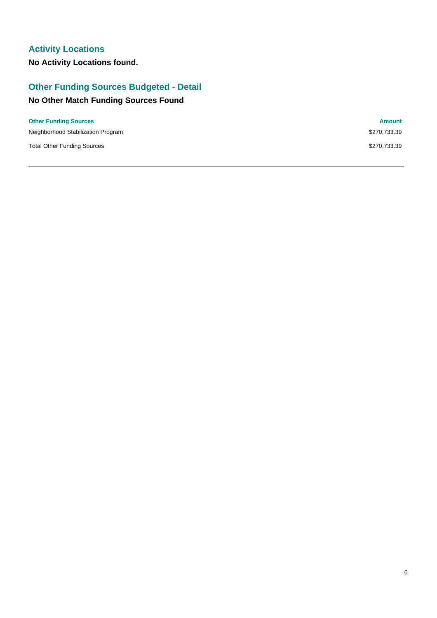## **Activity Locations**

**No Activity Locations found.**

## **Other Funding Sources Budgeted - Detail**

## **No Other Match Funding Sources Found**

| <b>Other Funding Sources</b>       | <b>Amount</b> |
|------------------------------------|---------------|
| Neighborhood Stabilization Program | \$270,733.39  |
| <b>Total Other Funding Sources</b> | \$270,733.39  |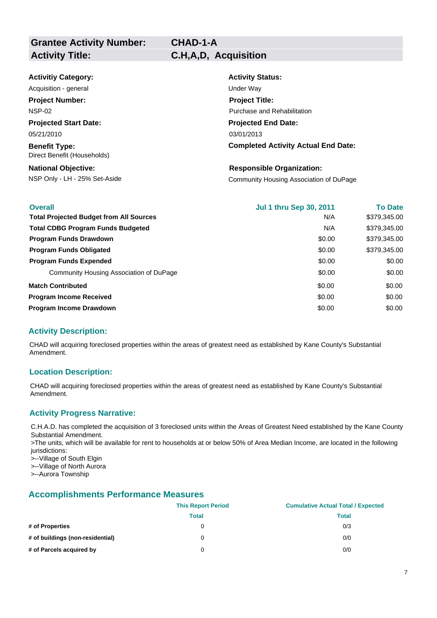# **CHAD-1-A**

| <b>Activitiy Category:</b>                          | <b>Activity Status:</b>                    |
|-----------------------------------------------------|--------------------------------------------|
| Acquisition - general                               | Under Way                                  |
| <b>Project Number:</b>                              | <b>Project Title:</b>                      |
| <b>NSP-02</b>                                       | Purchase and Rehabilitation                |
| <b>Projected Start Date:</b>                        | <b>Projected End Date:</b>                 |
| 05/21/2010                                          | 03/01/2013                                 |
| <b>Benefit Type:</b><br>Direct Benefit (Households) | <b>Completed Activity Actual End Date:</b> |
| <b>National Objective:</b>                          | <b>Responsible Organization:</b>           |
| NSP Only - LH - 25% Set-Aside                       | Community Housing Association of DuPage    |

| <b>Overall</b>                                 | <b>Jul 1 thru Sep 30, 2011</b> | <b>To Date</b> |
|------------------------------------------------|--------------------------------|----------------|
| <b>Total Projected Budget from All Sources</b> | N/A                            | \$379,345.00   |
| <b>Total CDBG Program Funds Budgeted</b>       | N/A                            | \$379,345.00   |
| <b>Program Funds Drawdown</b>                  | \$0.00                         | \$379.345.00   |
| <b>Program Funds Obligated</b>                 | \$0.00                         | \$379.345.00   |
| <b>Program Funds Expended</b>                  | \$0.00                         | \$0.00         |
| Community Housing Association of DuPage        | \$0.00                         | \$0.00         |
| <b>Match Contributed</b>                       | \$0.00                         | \$0.00         |
| <b>Program Income Received</b>                 | \$0.00                         | \$0.00         |
| <b>Program Income Drawdown</b>                 | \$0.00                         | \$0.00         |

#### **Activity Description:**

CHAD will acquiring foreclosed properties within the areas of greatest need as established by Kane County's Substantial Amendment.

#### **Location Description:**

CHAD will acquiring foreclosed properties within the areas of greatest need as established by Kane County's Substantial Amendment.

#### **Activity Progress Narrative:**

C.H.A.D. has completed the acquisition of 3 foreclosed units within the Areas of Greatest Need established by the Kane County Substantial Amendment. >The units, which will be available for rent to households at or below 50% of Area Median Income, are located in the following jurisdictions: >--Village of South Elgin >--Village of North Aurora

>--Aurora Township

|                                  | <b>This Report Period</b> | <b>Cumulative Actual Total / Expected</b> |
|----------------------------------|---------------------------|-------------------------------------------|
|                                  | Total                     | Total                                     |
| # of Properties                  | 0                         | 0/3                                       |
| # of buildings (non-residential) | 0                         | 0/0                                       |
| # of Parcels acquired by         | 0                         | 0/0                                       |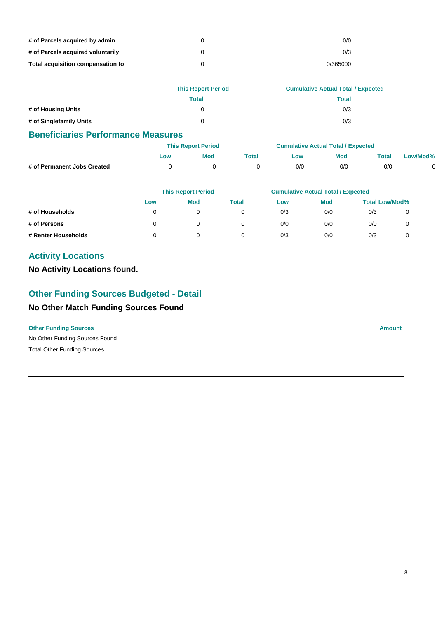| # of Parcels acquired by admin    | 0/0      |
|-----------------------------------|----------|
| # of Parcels acquired voluntarily | 0/3      |
| Total acquisition compensation to | 0/365000 |

|                         | <b>This Report Period</b> | <b>Cumulative Actual Total / Expected</b> |
|-------------------------|---------------------------|-------------------------------------------|
|                         | Total                     | Total                                     |
| # of Housing Units      |                           | 0/3                                       |
| # of Singlefamily Units | 0                         | 0/3                                       |

|                             |     | <b>This Report Period</b> |       | <b>Cumulative Actual Total / Expected</b> |            |       |          |
|-----------------------------|-----|---------------------------|-------|-------------------------------------------|------------|-------|----------|
|                             | LOW | Mod                       | Total | <b>LOW</b>                                | <b>Mod</b> | Total | Low/Mod% |
| # of Permanent Jobs Created |     |                           |       | 0/0                                       | 0/0        | 0/0   |          |

|                     |     | <b>This Report Period</b> |       | <b>Cumulative Actual Total / Expected</b> |            |                       |  |  |
|---------------------|-----|---------------------------|-------|-------------------------------------------|------------|-----------------------|--|--|
|                     | Low | <b>Mod</b>                | Total | Low                                       | <b>Mod</b> | <b>Total Low/Mod%</b> |  |  |
| # of Households     |     | 0                         |       | 0/3                                       | 0/0        | 0/3                   |  |  |
| # of Persons        | 0   | 0                         |       | 0/0                                       | 0/0        | 0/0                   |  |  |
| # Renter Households |     |                           |       | 0/3                                       | 0/0        | 0/3                   |  |  |

## **Activity Locations**

**No Activity Locations found.**

## **Other Funding Sources Budgeted - Detail**

## **No Other Match Funding Sources Found**

#### **Other Funding Sources Amount**

No Other Funding Sources Found Total Other Funding Sources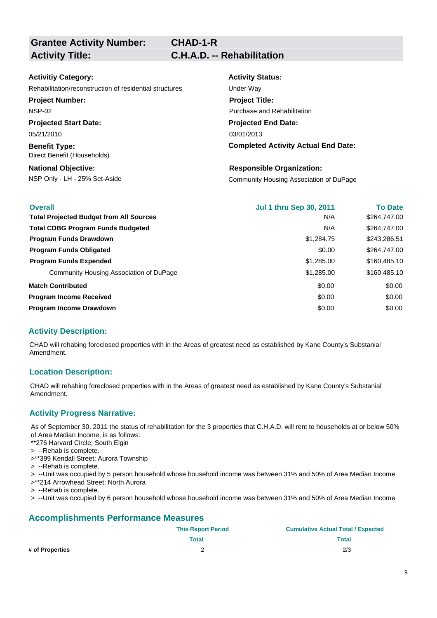**Grantee Activity Number: Activity Title: C.H.A.D. -- Rehabilitation**

| <b>Activitiy Category:</b>               |
|------------------------------------------|
| Rehabilitation/reconstruction of residen |
| <b>Project Number:</b>                   |
| <b>NSP-02</b>                            |
| <b>Projected Start Date:</b>             |
| 05/21/2010                               |

**Benefit Type:** Direct Benefit (Households)

**National Objective:**

**Activity Status: Projected End Date: Completed Activity Actual End Date:** 03/01/2013 rehabilitial structures intervential structures under Way **Project Title:** Purchase and Rehabilitation

NSP Only - LH - 25% Set-Aside Community Housing Association of DuPage **Responsible Organization:**

| <b>Overall</b>                                 | <b>Jul 1 thru Sep 30, 2011</b> | <b>To Date</b> |
|------------------------------------------------|--------------------------------|----------------|
| <b>Total Projected Budget from All Sources</b> | N/A                            | \$264,747.00   |
| <b>Total CDBG Program Funds Budgeted</b>       | N/A                            | \$264,747.00   |
| <b>Program Funds Drawdown</b>                  | \$1,284.75                     | \$243,286.51   |
| <b>Program Funds Obligated</b>                 | \$0.00                         | \$264,747.00   |
| <b>Program Funds Expended</b>                  | \$1,285.00                     | \$160,485.10   |
| Community Housing Association of DuPage        | \$1,285.00                     | \$160,485.10   |
| <b>Match Contributed</b>                       | \$0.00                         | \$0.00         |
| <b>Program Income Received</b>                 | \$0.00                         | \$0.00         |
| <b>Program Income Drawdown</b>                 | \$0.00                         | \$0.00         |

#### **Activity Description:**

CHAD will rehabing foreclosed properties with in the Areas of greatest need as established by Kane County's Substanial Amendment.

#### **Location Description:**

CHAD will rehabing foreclosed properties with in the Areas of greatest need as established by Kane County's Substanial Amendment.

#### **Activity Progress Narrative:**

As of September 30, 2011 the status of rehabilitation for the 3 properties that C.H.A.D. will rent to households at or below 50% of Area Median Income, is as follows:

\*\*276 Harvard Circle; South Elgin

- > --Rehab is complete.
- >\*\*399 Kendall Street; Aurora Township
- > --Rehab is complete.

> --Unit was occupied by 5 person household whose household income was between 31% and 50% of Area Median Income

- >\*\*214 Arrowhead Street; North Aurora
- > --Rehab is complete.
- > --Unit was occupied by 6 person household whose household income was between 31% and 50% of Area Median Income.

|                 | <b>This Report Period</b> | <b>Cumulative Actual Total / Expected</b> |
|-----------------|---------------------------|-------------------------------------------|
|                 | Total                     | Total                                     |
| # of Properties |                           | 2/3                                       |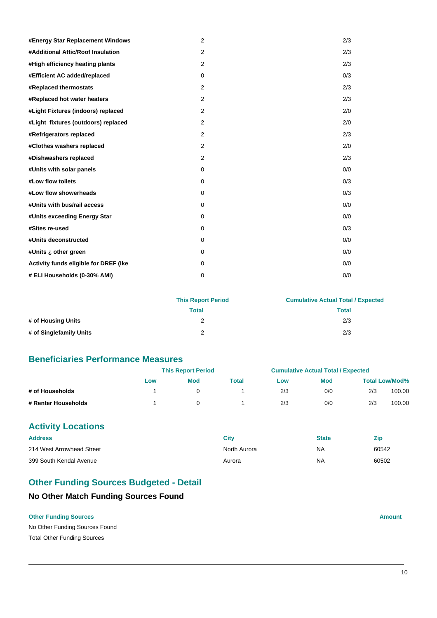| #Energy Star Replacement Windows      | 2              | 2/3 |
|---------------------------------------|----------------|-----|
| #Additional Attic/Roof Insulation     | 2              | 2/3 |
| #High efficiency heating plants       | 2              | 2/3 |
| #Efficient AC added/replaced          | $\mathbf 0$    | 0/3 |
| #Replaced thermostats                 | $\overline{2}$ | 2/3 |
| #Replaced hot water heaters           | 2              | 2/3 |
| #Light Fixtures (indoors) replaced    | 2              | 2/0 |
| #Light fixtures (outdoors) replaced   | 2              | 2/0 |
| #Refrigerators replaced               | 2              | 2/3 |
| #Clothes washers replaced             | 2              | 2/0 |
| #Dishwashers replaced                 | 2              | 2/3 |
| #Units with solar panels              | $\mathbf 0$    | 0/0 |
| #Low flow toilets                     | $\mathbf 0$    | 0/3 |
| #Low flow showerheads                 | $\Omega$       | 0/3 |
| #Units with bus/rail access           | $\mathbf 0$    | 0/0 |
| #Units exceeding Energy Star          | 0              | 0/0 |
| #Sites re-used                        | 0              | 0/3 |
| #Units deconstructed                  | $\mathbf 0$    | 0/0 |
| #Units ¿ other green                  | $\Omega$       | 0/0 |
| Activity funds eligible for DREF (Ike | $\Omega$       | 0/0 |
| # ELI Households (0-30% AMI)          | 0              | 0/0 |

|                         | <b>This Report Period</b> | <b>Cumulative Actual Total / Expected</b> |
|-------------------------|---------------------------|-------------------------------------------|
|                         | Total                     | Total                                     |
| # of Housing Units      |                           | 2/3                                       |
| # of Singlefamily Units |                           | 2/3                                       |

|                     | <b>This Report Period</b> |     |       | <b>Cumulative Actual Total / Expected</b> |            |     |                       |
|---------------------|---------------------------|-----|-------|-------------------------------------------|------------|-----|-----------------------|
|                     | Low                       | Mod | Total | LOW                                       | <b>Mod</b> |     | <b>Total Low/Mod%</b> |
| # of Households     |                           |     |       | 2/3                                       | 0/0        | 2/3 | 100.00                |
| # Renter Households |                           |     |       | 2/3                                       | 0/0        | 2/3 | 100.00                |

## **Activity Locations**

| <b>Address</b>            | City         | State | Zic   |
|---------------------------|--------------|-------|-------|
| 214 West Arrowhead Street | North Aurora | ΝA    | 60542 |
| 399 South Kendal Avenue   | Aurora       | ΝA    | 60502 |

## **Other Funding Sources Budgeted - Detail**

## **No Other Match Funding Sources Found**

#### **Other Funding Sources Amount Amount Amount Amount Amount Amount Amount**

No Other Funding Sources Found Total Other Funding Sources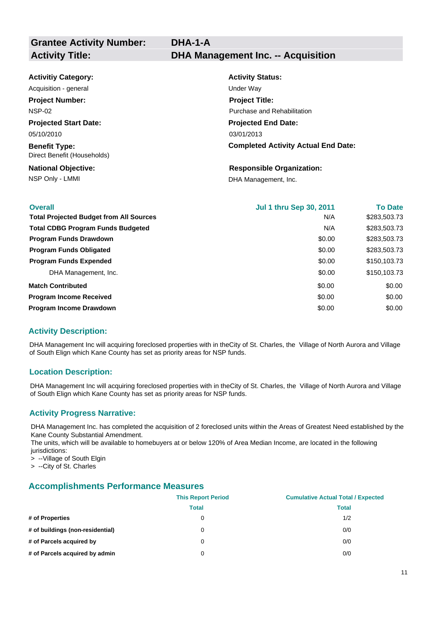| <b>Activitiy Category:</b>                          | <b>Activity Status:</b>                    |
|-----------------------------------------------------|--------------------------------------------|
| Acquisition - general                               | Under Way                                  |
| <b>Project Number:</b>                              | <b>Project Title:</b>                      |
| <b>NSP-02</b>                                       | Purchase and Rehabilitation                |
| <b>Projected Start Date:</b>                        | <b>Projected End Date:</b>                 |
| 05/10/2010                                          | 03/01/2013                                 |
| <b>Benefit Type:</b><br>Direct Benefit (Households) | <b>Completed Activity Actual End Date:</b> |
| <b>National Objective:</b>                          | <b>Responsible Organization:</b>           |

NSP Only - LMMI DHA Management, Inc.

| <b>Overall</b>                                 | <b>Jul 1 thru Sep 30, 2011</b> | <b>To Date</b> |
|------------------------------------------------|--------------------------------|----------------|
| <b>Total Projected Budget from All Sources</b> | N/A                            | \$283,503.73   |
| <b>Total CDBG Program Funds Budgeted</b>       | N/A                            | \$283,503.73   |
| <b>Program Funds Drawdown</b>                  | \$0.00                         | \$283,503.73   |
| <b>Program Funds Obligated</b>                 | \$0.00                         | \$283,503.73   |
| <b>Program Funds Expended</b>                  | \$0.00                         | \$150,103.73   |
| DHA Management, Inc.                           | \$0.00                         | \$150,103.73   |
| <b>Match Contributed</b>                       | \$0.00                         | \$0.00         |
| <b>Program Income Received</b>                 | \$0.00                         | \$0.00         |
| Program Income Drawdown                        | \$0.00                         | \$0.00         |

#### **Activity Description:**

DHA Management Inc will acquiring foreclosed properties with in theCity of St. Charles, the Village of North Aurora and Village of South Elign which Kane County has set as priority areas for NSP funds.

#### **Location Description:**

DHA Management Inc will acquiring foreclosed properties with in theCity of St. Charles, the Village of North Aurora and Village of South Elign which Kane County has set as priority areas for NSP funds.

#### **Activity Progress Narrative:**

DHA Management Inc. has completed the acquisition of 2 foreclosed units within the Areas of Greatest Need established by the Kane County Substantial Amendment.

The units, which will be available to homebuyers at or below 120% of Area Median Income, are located in the following jurisdictions:

> --Village of South Elgin

> --City of St. Charles

|                                  | <b>This Report Period</b> | <b>Cumulative Actual Total / Expected</b> |
|----------------------------------|---------------------------|-------------------------------------------|
|                                  | <b>Total</b>              | <b>Total</b>                              |
| # of Properties                  | 0                         | 1/2                                       |
| # of buildings (non-residential) | 0                         | 0/0                                       |
| # of Parcels acquired by         | 0                         | 0/0                                       |
| # of Parcels acquired by admin   | 0                         | 0/0                                       |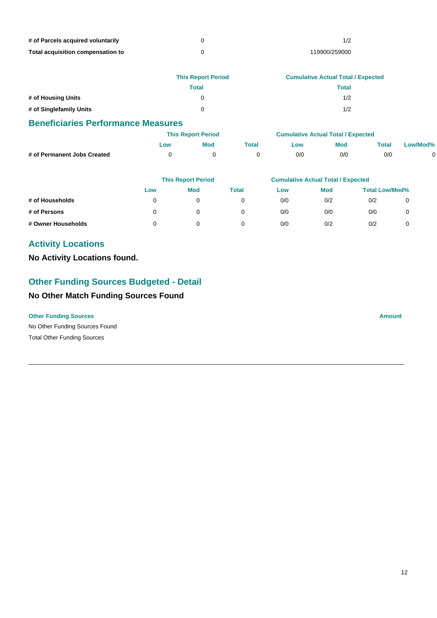| # of Parcels acquired voluntarily |               |
|-----------------------------------|---------------|
| Total acquisition compensation to | 119900/259000 |

|                         | <b>This Report Period</b> | <b>Cumulative Actual Total / Expected</b> |
|-------------------------|---------------------------|-------------------------------------------|
|                         | Total                     | Total                                     |
| # of Housing Units      |                           | 1/2                                       |
| # of Singlefamily Units |                           | 1/2                                       |

|                             |     | <b>This Report Period</b> |       | <b>Cumulative Actual Total / Expected</b> |     |                           |          |  |
|-----------------------------|-----|---------------------------|-------|-------------------------------------------|-----|---------------------------|----------|--|
|                             | LOW | Mod                       | Total | LOW                                       | Mod | $\mathop{\mathsf{Total}}$ | Low/Mod% |  |
| # of Permanent Jobs Created |     |                           |       | 0/0                                       | 0/0 | 0/0                       |          |  |

|                    | <b>This Report Period</b> |            |       | <b>Cumulative Actual Total / Expected</b> |            |                       |  |
|--------------------|---------------------------|------------|-------|-------------------------------------------|------------|-----------------------|--|
|                    | Low                       | <b>Mod</b> | Total | Low                                       | <b>Mod</b> | <b>Total Low/Mod%</b> |  |
| # of Households    |                           |            |       | 0/0                                       | 0/2        | 0/2                   |  |
| # of Persons       |                           |            |       | 0/0                                       | 0/0        | 0/0                   |  |
| # Owner Households |                           |            |       | 0/0                                       | 0/2        | 0/2                   |  |

## **Activity Locations**

**No Activity Locations found.**

## **Other Funding Sources Budgeted - Detail**

## **No Other Match Funding Sources Found**

No Other Funding Sources Found **Other Funding Sources Amount** Total Other Funding Sources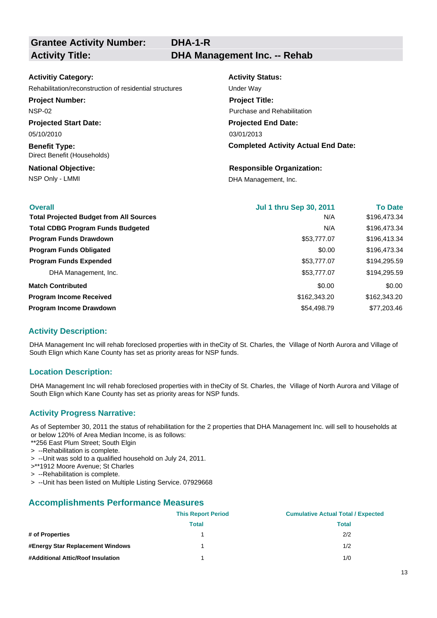**Grantee Activity Number:**

#### **Activitiy Category:**

Rehabilitation/reconstruction of residential structures Under Way

**Project Number:**

NSP-02

**Projected Start Date:** 05/10/2010

**Benefit Type:** Direct Benefit (Households)

**National Objective:**

**Activity Status: Projected End Date: Completed Activity Actual End Date:** 03/01/2013 **Project Title:** Purchase and Rehabilitation

## **Responsible Organization:**

NSP Only - LMMI DHA Management, Inc.

| <b>Overall</b>                                 | <b>Jul 1 thru Sep 30, 2011</b> | <b>To Date</b> |
|------------------------------------------------|--------------------------------|----------------|
| <b>Total Projected Budget from All Sources</b> | N/A                            | \$196,473.34   |
| <b>Total CDBG Program Funds Budgeted</b>       | N/A                            | \$196,473.34   |
| <b>Program Funds Drawdown</b>                  | \$53,777.07                    | \$196,413.34   |
| <b>Program Funds Obligated</b>                 | \$0.00                         | \$196,473.34   |
| <b>Program Funds Expended</b>                  | \$53,777.07                    | \$194,295.59   |
| DHA Management, Inc.                           | \$53,777.07                    | \$194,295.59   |
| <b>Match Contributed</b>                       | \$0.00                         | \$0.00         |
| <b>Program Income Received</b>                 | \$162,343.20                   | \$162,343.20   |
| <b>Program Income Drawdown</b>                 | \$54,498.79                    | \$77,203.46    |

#### **Activity Description:**

DHA Management Inc will rehab foreclosed properties with in theCity of St. Charles, the Village of North Aurora and Village of South Elign which Kane County has set as priority areas for NSP funds.

#### **Location Description:**

DHA Management Inc will rehab foreclosed properties with in theCity of St. Charles, the Village of North Aurora and Village of South Elign which Kane County has set as priority areas for NSP funds.

#### **Activity Progress Narrative:**

As of September 30, 2011 the status of rehabilitation for the 2 properties that DHA Management Inc. will sell to households at or below 120% of Area Median Income, is as follows:

\*\*256 East Plum Street; South Elgin > --Rehabilitation is complete.

- > --Unit was sold to a qualified household on July 24, 2011.
- >\*\*1912 Moore Avenue; St Charles
- > --Rehabilitation is complete.
- > --Unit has been listed on Multiple Listing Service. 07929668

|                                   | <b>This Report Period</b> | <b>Cumulative Actual Total / Expected</b> |
|-----------------------------------|---------------------------|-------------------------------------------|
|                                   | <b>Total</b>              | <b>Total</b>                              |
| # of Properties                   |                           | 2/2                                       |
| #Energy Star Replacement Windows  |                           | 1/2                                       |
| #Additional Attic/Roof Insulation |                           | 1/0                                       |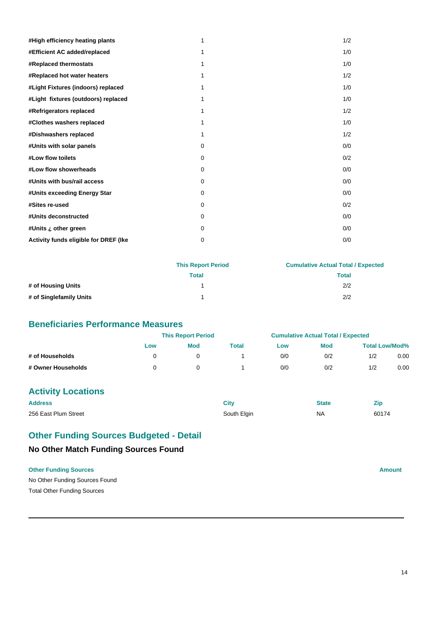| #High efficiency heating plants       | 1        | 1/2 |
|---------------------------------------|----------|-----|
| #Efficient AC added/replaced          | 1        | 1/0 |
| #Replaced thermostats                 | 1        | 1/0 |
| #Replaced hot water heaters           | 1        | 1/2 |
| #Light Fixtures (indoors) replaced    | 1        | 1/0 |
| #Light fixtures (outdoors) replaced   | 1        | 1/0 |
| #Refrigerators replaced               | 1        | 1/2 |
| #Clothes washers replaced             | 1        | 1/0 |
| #Dishwashers replaced                 | 1        | 1/2 |
| #Units with solar panels              | $\Omega$ | 0/0 |
| #Low flow toilets                     | $\Omega$ | 0/2 |
| #Low flow showerheads                 | $\Omega$ | 0/0 |
| #Units with bus/rail access           | $\Omega$ | 0/0 |
| #Units exceeding Energy Star          | $\Omega$ | 0/0 |
| #Sites re-used                        | $\Omega$ | 0/2 |
| #Units deconstructed                  | $\Omega$ | 0/0 |
| #Units ¿ other green                  | 0        | 0/0 |
| Activity funds eligible for DREF (Ike | 0        | 0/0 |

|                         | <b>This Report Period</b> | <b>Cumulative Actual Total / Expected</b> |
|-------------------------|---------------------------|-------------------------------------------|
|                         | Total                     | <b>Total</b>                              |
| # of Housing Units      |                           | 2/2                                       |
| # of Singlefamily Units |                           | 2/2                                       |

|                    |     | <b>This Report Period</b> |       | <b>Cumulative Actual Total / Expected</b> |     |                       |      |
|--------------------|-----|---------------------------|-------|-------------------------------------------|-----|-----------------------|------|
|                    | Low | <b>Mod</b>                | Total | Low                                       | Mod | <b>Total Low/Mod%</b> |      |
| # of Households    |     |                           |       | 0/0                                       | 0/2 | 1/2                   | 0.00 |
| # Owner Households |     |                           |       | 0/0                                       | 0/2 | 1/2                   | 0.00 |

## **Activity Locations**

| <b>Address</b>       | City        | <b>State</b> | Zir   |
|----------------------|-------------|--------------|-------|
| 256 East Plum Street | South Elgin | <b>NA</b>    | 60174 |

## **No Other Match Funding Sources Found Other Funding Sources Budgeted - Detail**

No Other Funding Sources Found **Other Funding Sources Amount** 

Total Other Funding Sources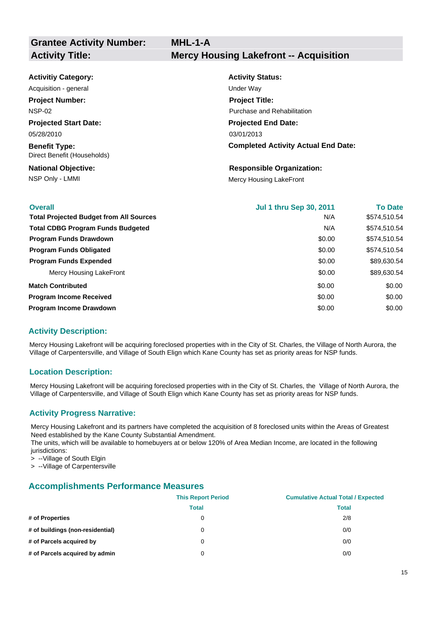| <b>Activitiy Category:</b>                          | <b>Activity Status:</b>                    |
|-----------------------------------------------------|--------------------------------------------|
| Acquisition - general                               | Under Way                                  |
| <b>Project Number:</b>                              | <b>Project Title:</b>                      |
| <b>NSP-02</b>                                       | Purchase and Rehabilitation                |
| <b>Projected Start Date:</b>                        | <b>Projected End Date:</b>                 |
| 05/28/2010                                          | 03/01/2013                                 |
| <b>Benefit Type:</b><br>Direct Benefit (Households) | <b>Completed Activity Actual End Date:</b> |
| <b>National Objective:</b>                          | <b>Responsible Organization:</b>           |

NSP Only - LMMI Mercy Housing LakeFront

| <b>Overall</b>                                 | <b>Jul 1 thru Sep 30, 2011</b> | <b>To Date</b> |
|------------------------------------------------|--------------------------------|----------------|
| <b>Total Projected Budget from All Sources</b> | N/A                            | \$574,510.54   |
| <b>Total CDBG Program Funds Budgeted</b>       | N/A                            | \$574,510.54   |
| <b>Program Funds Drawdown</b>                  | \$0.00                         | \$574,510.54   |
| <b>Program Funds Obligated</b>                 | \$0.00                         | \$574.510.54   |
| <b>Program Funds Expended</b>                  | \$0.00                         | \$89,630.54    |
| Mercy Housing LakeFront                        | \$0.00                         | \$89,630.54    |
| <b>Match Contributed</b>                       | \$0.00                         | \$0.00         |
| <b>Program Income Received</b>                 | \$0.00                         | \$0.00         |
| Program Income Drawdown                        | \$0.00                         | \$0.00         |

#### **Activity Description:**

Mercy Housing Lakefront will be acquiring foreclosed properties with in the City of St. Charles, the Village of North Aurora, the Village of Carpentersville, and Village of South Elign which Kane County has set as priority areas for NSP funds.

#### **Location Description:**

Mercy Housing Lakefront will be acquiring foreclosed properties with in the City of St. Charles, the Village of North Aurora, the Village of Carpentersville, and Village of South Elign which Kane County has set as priority areas for NSP funds.

#### **Activity Progress Narrative:**

Mercy Housing Lakefront and its partners have completed the acquisition of 8 foreclosed units within the Areas of Greatest Need established by the Kane County Substantial Amendment.

The units, which will be available to homebuyers at or below 120% of Area Median Income, are located in the following jurisdictions:

> --Village of South Elgin

> --Village of Carpentersville

|                                  | <b>This Report Period</b> | <b>Cumulative Actual Total / Expected</b> |
|----------------------------------|---------------------------|-------------------------------------------|
|                                  | <b>Total</b>              | <b>Total</b>                              |
| # of Properties                  | 0                         | 2/8                                       |
| # of buildings (non-residential) | 0                         | 0/0                                       |
| # of Parcels acquired by         | 0                         | 0/0                                       |
| # of Parcels acquired by admin   | 0                         | 0/0                                       |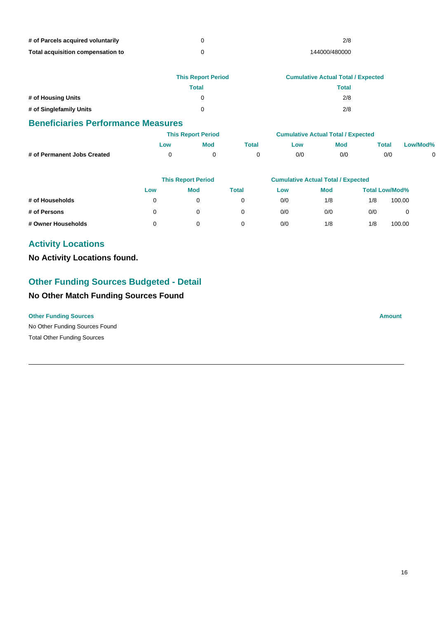| # of Parcels acquired voluntarily | 2/8           |
|-----------------------------------|---------------|
| Total acquisition compensation to | 144000/480000 |

|                         | <b>This Report Period</b> | <b>Cumulative Actual Total / Expected</b> |
|-------------------------|---------------------------|-------------------------------------------|
|                         | Total                     | Total                                     |
| # of Housing Units      | 0                         | 2/8                                       |
| # of Singlefamily Units | 0                         | 2/8                                       |

|                             | <b>This Report Period</b> |            | <b>Cumulative Actual Total / Expected</b> |     |     |                           |          |
|-----------------------------|---------------------------|------------|-------------------------------------------|-----|-----|---------------------------|----------|
|                             | ∟ow                       | <b>Mod</b> | Гоtal                                     | ∟ow | Mod | $\mathop{\mathsf{Total}}$ | Low/Mod% |
| # of Permanent Jobs Created |                           |            |                                           | 0/0 | 0/0 | 0/0                       |          |

|                    | <b>This Report Period</b> |            | <b>Cumulative Actual Total / Expected</b> |     |            |     |                       |
|--------------------|---------------------------|------------|-------------------------------------------|-----|------------|-----|-----------------------|
|                    | Low                       | <b>Mod</b> | <b>Total</b>                              | Low | <b>Mod</b> |     | <b>Total Low/Mod%</b> |
| # of Households    |                           |            |                                           | 0/0 | 1/8        | 1/8 | 100.00                |
| # of Persons       |                           |            |                                           | 0/0 | 0/0        | 0/0 | $\mathbf 0$           |
| # Owner Households |                           |            |                                           | 0/0 | 1/8        | 1/8 | 100.00                |

## **Activity Locations**

**No Activity Locations found.**

## **Other Funding Sources Budgeted - Detail**

## **No Other Match Funding Sources Found**

No Other Funding Sources Found **Other Funding Sources Amount** Total Other Funding Sources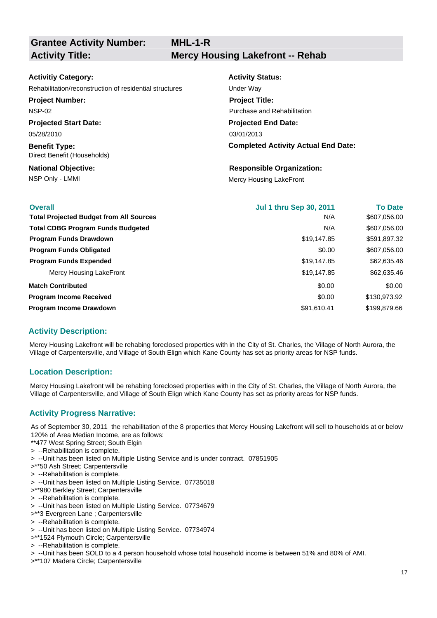**Grantee Activity Number:**

**MHL-1-R Activity Title: Mercy Housing Lakefront -- Rehab**

#### **Activitiy Category:**

Rehabilitation/reconstruction of residential structures Under Way

**Project Number:**

NSP-02

**Projected Start Date:** 05/28/2010

**Benefit Type:** Direct Benefit (Households)

**National Objective:**

**Activity Status: Projected End Date: Completed Activity Actual End Date:** 03/01/2013 **Project Title:** Purchase and Rehabilitation

**Responsible Organization:**

NSP Only - LMMI Mercy Housing LakeFront

| <b>Overall</b>                                 | <b>Jul 1 thru Sep 30, 2011</b> | <b>To Date</b> |
|------------------------------------------------|--------------------------------|----------------|
| <b>Total Projected Budget from All Sources</b> | N/A                            | \$607,056.00   |
| <b>Total CDBG Program Funds Budgeted</b>       | N/A                            | \$607,056.00   |
| <b>Program Funds Drawdown</b>                  | \$19,147.85                    | \$591,897.32   |
| <b>Program Funds Obligated</b>                 | \$0.00                         | \$607,056.00   |
| <b>Program Funds Expended</b>                  | \$19,147.85                    | \$62,635.46    |
| Mercy Housing LakeFront                        | \$19,147.85                    | \$62,635.46    |
| <b>Match Contributed</b>                       | \$0.00                         | \$0.00         |
| <b>Program Income Received</b>                 | \$0.00                         | \$130,973.92   |
| Program Income Drawdown                        | \$91,610.41                    | \$199,879.66   |

#### **Activity Description:**

Mercy Housing Lakefront will be rehabing foreclosed properties with in the City of St. Charles, the Village of North Aurora, the Village of Carpentersville, and Village of South Elign which Kane County has set as priority areas for NSP funds.

#### **Location Description:**

Mercy Housing Lakefront will be rehabing foreclosed properties with in the City of St. Charles, the Village of North Aurora, the Village of Carpentersville, and Village of South Elign which Kane County has set as priority areas for NSP funds.

#### **Activity Progress Narrative:**

As of September 30, 2011 the rehabilitation of the 8 properties that Mercy Housing Lakefront will sell to households at or below 120% of Area Median Income, are as follows:

\*\*477 West Spring Street; South Elgin

- > --Rehabilitation is complete.
- > --Unit has been listed on Multiple Listing Service and is under contract. 07851905
- >\*\*50 Ash Street; Carpentersville
- > --Rehabilitation is complete.
- > --Unit has been listed on Multiple Listing Service. 07735018
- >\*\*980 Berkley Street; Carpentersville
- > --Rehabilitation is complete.
- > --Unit has been listed on Multiple Listing Service. 07734679
- >\*\*3 Evergreen Lane ; Carpentersville
- > --Rehabilitation is complete.
- > --Unit has been listed on Multiple Listing Service. 07734974
- >\*\*1524 Plymouth Circle; Carpentersville
- > --Rehabilitation is complete.
- > --Unit has been SOLD to a 4 person household whose total household income is between 51% and 80% of AMI.
- >\*\*107 Madera Circle; Carpentersville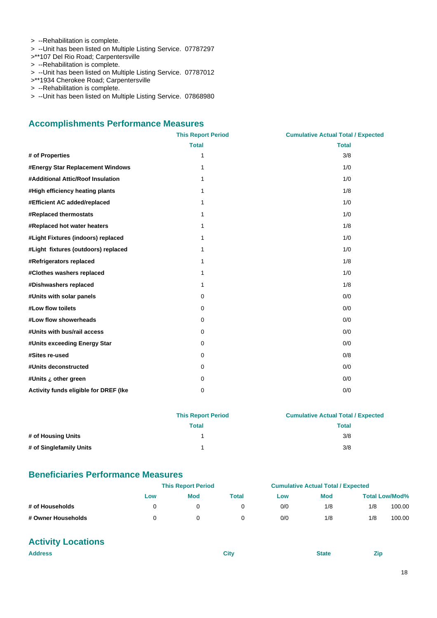- > --Rehabilitation is complete.
- > --Unit has been listed on Multiple Listing Service. 07787297
- >\*\*107 Del Rio Road; Carpentersville
- > --Rehabilitation is complete.
- > --Unit has been listed on Multiple Listing Service. 07787012
- >\*\*1934 Cherokee Road; Carpentersville
- > --Rehabilitation is complete.
- > --Unit has been listed on Multiple Listing Service. 07868980

#### **Accomplishments Performance Measures**

|                                       | <b>This Report Period</b> | <b>Cumulative Actual Total / Expected</b> |
|---------------------------------------|---------------------------|-------------------------------------------|
|                                       | <b>Total</b>              | <b>Total</b>                              |
| # of Properties                       | 1                         | 3/8                                       |
| #Energy Star Replacement Windows      | 1                         | 1/0                                       |
| #Additional Attic/Roof Insulation     | 1                         | 1/0                                       |
| #High efficiency heating plants       | 1                         | 1/8                                       |
| #Efficient AC added/replaced          | 1                         | 1/0                                       |
| #Replaced thermostats                 | 1                         | 1/0                                       |
| #Replaced hot water heaters           | 1                         | 1/8                                       |
| #Light Fixtures (indoors) replaced    | 1                         | 1/0                                       |
| #Light fixtures (outdoors) replaced   | 1                         | 1/0                                       |
| #Refrigerators replaced               | 1                         | 1/8                                       |
| #Clothes washers replaced             | 1                         | 1/0                                       |
| #Dishwashers replaced                 | 1                         | 1/8                                       |
| #Units with solar panels              | 0                         | 0/0                                       |
| #Low flow toilets                     | 0                         | 0/0                                       |
| #Low flow showerheads                 | 0                         | 0/0                                       |
| #Units with bus/rail access           | $\mathbf 0$               | 0/0                                       |
| #Units exceeding Energy Star          | 0                         | 0/0                                       |
| #Sites re-used                        | 0                         | 0/8                                       |
| #Units deconstructed                  | $\mathbf 0$               | 0/0                                       |
| #Units ¿ other green                  | $\mathbf 0$               | 0/0                                       |
| Activity funds eligible for DREF (Ike | 0                         | 0/0                                       |

|                         | <b>This Report Period</b> | <b>Cumulative Actual Total / Expected</b> |  |  |
|-------------------------|---------------------------|-------------------------------------------|--|--|
|                         | Total                     | Total                                     |  |  |
| # of Housing Units      |                           | 3/8                                       |  |  |
| # of Singlefamily Units |                           | 3/8                                       |  |  |

#### **Beneficiaries Performance Measures**

|                    |     | <b>This Report Period</b> |       |     | <b>Cumulative Actual Total / Expected</b> |     |                       |
|--------------------|-----|---------------------------|-------|-----|-------------------------------------------|-----|-----------------------|
|                    | Low | <b>Mod</b>                | Total | Low | <b>Mod</b>                                |     | <b>Total Low/Mod%</b> |
| # of Households    |     |                           |       | 0/0 | 1/8                                       | 1/8 | 100.00                |
| # Owner Households |     |                           |       | 0/0 | 1/8                                       | 1/8 | 100.00                |

## **Activity Locations**

| <b>Address</b> | City | <b>State</b> | Zip |
|----------------|------|--------------|-----|
|                |      |              |     |